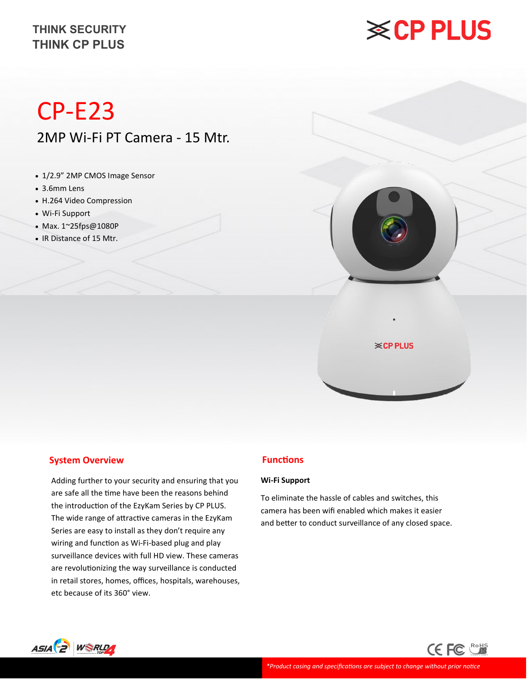## **※CP PLUS**

# CP-E23

2MP Wi-Fi PT Camera - 15 Mtr.

- 1/2.9" 2MP CMOS Image Sensor
- 3.6mm Lens
- H.264 Video Compression
- Wi-Fi Support
- Max. 1~25fps@1080P
- IR Distance of 15 Mtr.



# **※CP PLUS**

## **System Overview**

Adding further to your security and ensuring that you are safe all the time have been the reasons behind the introduction of the EzyKam Series by CP PLUS. The wide range of attractive cameras in the EzyKam Series are easy to install as they don't require any wiring and function as Wi-Fi-based plug and play surveillance devices with full HD view. These cameras are revolutionizing the way surveillance is conducted in retail stores, homes, offices, hospitals, warehouses, etc because of its 360° view.

## **Functions**

## **Wi-Fi Support**

To eliminate the hassle of cables and switches, this camera has been wifi enabled which makes it easier and better to conduct surveillance of any closed space.

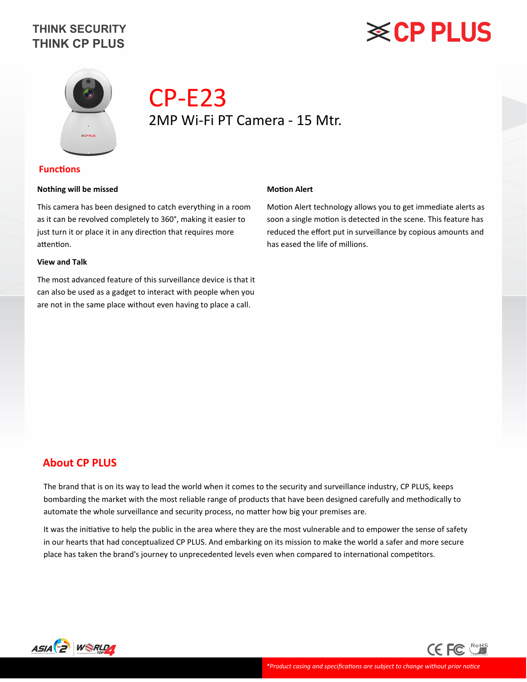# **※CP PLUS**



## CP-E23 2MP Wi-Fi PT Camera - 15 Mtr.

## **Functions**

## **Nothing will be missed**

This camera has been designed to catch everything in a room as it can be revolved completely to 360°, making it easier to just turn it or place it in any direction that requires more attention.

## **View and Talk**

The most advanced feature of this surveillance device is that it can also be used as a gadget to interact with people when you are not in the same place without even having to place a call.

#### **Motion Alert**

Motion Alert technology allows you to get immediate alerts as soon a single motion is detected in the scene. This feature has reduced the effort put in surveillance by copious amounts and has eased the life of millions.

## **About CP PLUS**

The brand that is on its way to lead the world when it comes to the security and surveillance industry, CP PLUS, keeps bombarding the market with the most reliable range of products that have been designed carefully and methodically to automate the whole surveillance and security process, no matter how big your premises are.

It was the initiative to help the public in the area where they are the most vulnerable and to empower the sense of safety in our hearts that had conceptualized CP PLUS. And embarking on its mission to make the world a safer and more secure place has taken the brand's journey to unprecedented levels even when compared to international competitors.



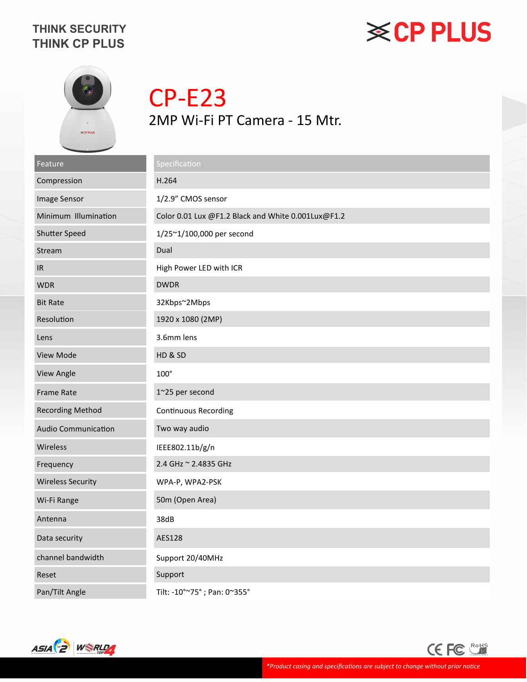# **≋CP PLUS**



CP-E23 2MP Wi-Fi PT Camera - 15 Mtr.

| Feature                    | Specification                                      |
|----------------------------|----------------------------------------------------|
| Compression                | H.264                                              |
| Image Sensor               | 1/2.9" CMOS sensor                                 |
| Minimum Illumination       | Color 0.01 Lux @F1.2 Black and White 0.001Lux@F1.2 |
| <b>Shutter Speed</b>       | 1/25~1/100,000 per second                          |
| Stream                     | Dual                                               |
| IR                         | High Power LED with ICR                            |
| <b>WDR</b>                 | <b>DWDR</b>                                        |
| <b>Bit Rate</b>            | 32Kbps~2Mbps                                       |
| Resolution                 | 1920 x 1080 (2MP)                                  |
| Lens                       | 3.6mm lens                                         |
| View Mode                  | HD & SD                                            |
| View Angle                 | $100^\circ$                                        |
| <b>Frame Rate</b>          | 1~25 per second                                    |
| <b>Recording Method</b>    | <b>Continuous Recording</b>                        |
| <b>Audio Communication</b> | Two way audio                                      |
| Wireless                   | IEEE802.11b/g/n                                    |
| Frequency                  | 2.4 GHz ~ 2.4835 GHz                               |
| <b>Wireless Security</b>   | WPA-P, WPA2-PSK                                    |
| Wi-Fi Range                | 50m (Open Area)                                    |
| Antenna                    | 38dB                                               |
| Data security              | AES128                                             |
| channel bandwidth          | Support 20/40MHz                                   |
| Reset                      | Support                                            |
| Pan/Tilt Angle             | Tilt: -10°~75°; Pan: 0~355°                        |